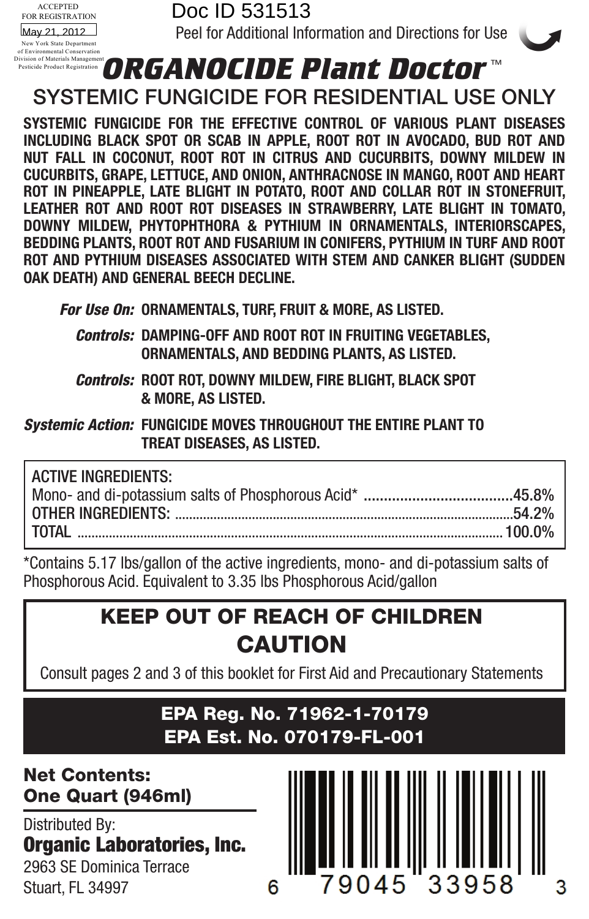

### **ORGANOCIDE PRINT DOCTOR**<br>SYSTEMIC FUNGICIDE FOR RESIDENTIAL USE ONLY Pesticide Product Registration

**SYSTEMIC FUNGICIDE FOR THE EFFECTIVE CONTROL OF VARIOUS PLANT DISEASES INCLUDING BLACK SPOT OR SCAB IN APPLE, ROOT ROT IN AVOCADO, BUD ROT AND NUT FALL IN COCONUT, ROOT ROT IN CITRUS AND CUCURBITS, DOWNY MILDEW IN CUCURBITS, GRAPE, LETTUCE, AND ONION, ANTHRACNOSE IN MANGO, ROOT AND HEART ROT IN PINEAPPLE, LATE BLIGHT IN POTATO, ROOT AND COLLAR ROT IN STONEFRUIT, LEATHER ROT AND ROOT ROT DISEASES IN STRAWBERRY, LATE BLIGHT IN TOMATO, DOWNY MILDEW, Phytophthora & PYTHIUM IN ORNAMENTALS, INTERIORSCAPES, BEDDING PLANTS, ROOT ROT AND FUSARIUM IN CONIFERS, PYTHIUM IN TURF AND ROOT ROT AND PYTHIUM DISEASES ASSOCIATED WITH STEM AND CANKER BLIGHT (SUDDEN OAK DEATH) AND GENERAL BEECH DECLINE.**

*For Use On:* **ORNAMENTALS, TURF, FRUIT & MORE, AS LISTED.** 

- *Controls:* **DAMPING-OFF AND ROOT ROT IN FRUITING VEGETABLES, ORNAMENTALS, AND BEDDING PLANTS, AS LISTED.**
- *Controls:* **ROOT ROT, DOWNY MILDEW, FIRE BLIGHT, BLACK SPOT & MORE, AS LISTED.**

*Systemic Action:* **Fungicide moves throughout the entire plant to treat diseases, as listed.**

| <b>ACTIVE INGREDIENTS:</b> |  |
|----------------------------|--|
|                            |  |
|                            |  |
|                            |  |
|                            |  |

\*Contains 5.17 lbs/gallon of the active ingredients, mono- and di-potassium salts of Phosphorous Acid. Equivalent to 3.35 lbs Phosphorous Acid/gallon

## KEEP OUT OF REACH OF CHILDREN CAUTION

Consult pages 2 and 3 of this booklet for First Aid and Precautionary Statements

### EPA Reg. No. 71962-1-70179 EPA Est. No. 070179-FL-001

Net Contents: One Quart (946ml)

Distributed By: Organic Laboratories, Inc. 2963 SE Dominica Terrace Stuart, FL 34997

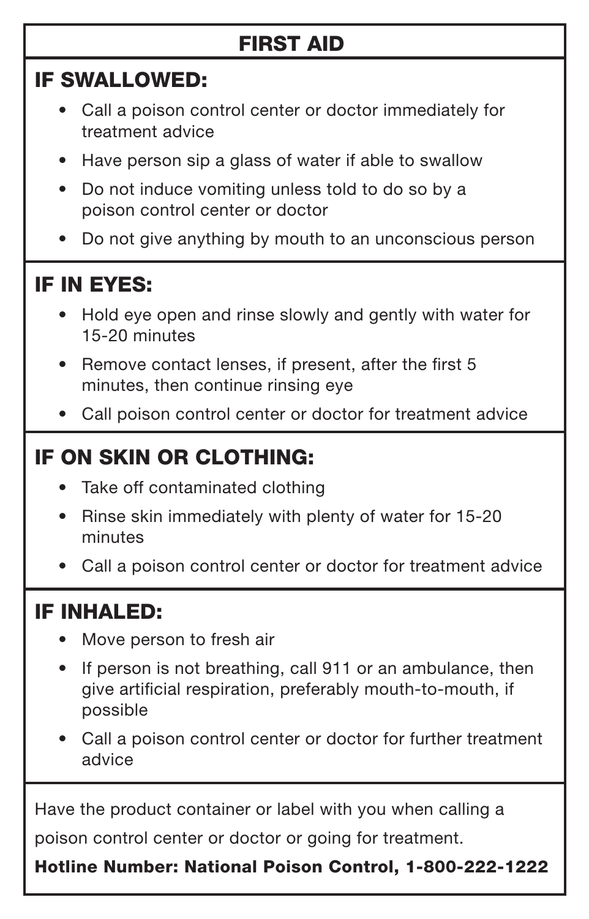## FIRST AID

### IF SWALLOWED:

- • Call a poison control center or doctor immediately for treatment advice
- Have person sip a glass of water if able to swallow
- Do not induce vomiting unless told to do so by a poison control center or doctor
- Do not give anything by mouth to an unconscious person

## IF IN EYES:

- Hold eve open and rinse slowly and gently with water for 15-20 minutes
- Remove contact lenses, if present, after the first 5 minutes, then continue rinsing eye
- Call poison control center or doctor for treatment advice

## IF ON SKIN OR CLOTHING:

- Take off contaminated clothing
- Rinse skin immediately with plenty of water for 15-20 minutes
- Call a poison control center or doctor for treatment advice

## IF INHALED:

- Move person to fresh air
- If person is not breathing, call 911 or an ambulance, then give artificial respiration, preferably mouth-to-mouth, if possible
- Call a poison control center or doctor for further treatment advice

Have the product container or label with you when calling a

poison control center or doctor or going for treatment.

Hotline Number: National Poison Control, 1-800-222-1222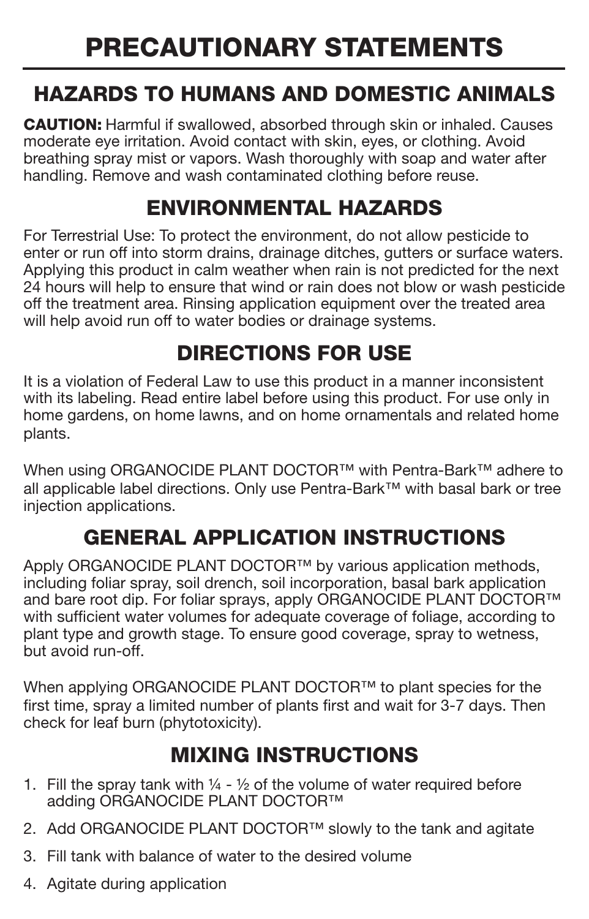# PRECAUTIONARY STATEMENTS

## HAZARDS TO HUMANS AND DOMESTIC ANIMALS

CAUTION: Harmful if swallowed, absorbed through skin or inhaled. Causes moderate eye irritation. Avoid contact with skin, eyes, or clothing. Avoid breathing spray mist or vapors. Wash thoroughly with soap and water after handling. Remove and wash contaminated clothing before reuse.

## ENVIRONMENTAL HAZARDS

For Terrestrial Use: To protect the environment, do not allow pesticide to enter or run off into storm drains, drainage ditches, gutters or surface waters. Applying this product in calm weather when rain is not predicted for the next 24 hours will help to ensure that wind or rain does not blow or wash pesticide off the treatment area. Rinsing application equipment over the treated area will help avoid run off to water bodies or drainage systems.

## DIRECTIONS FOR USE

It is a violation of Federal Law to use this product in a manner inconsistent with its labeling. Read entire label before using this product. For use only in home gardens, on home lawns, and on home ornamentals and related home plants.

When using ORGANOCIDE PLANT DOCTOR™ with Pentra-Bark™ adhere to all applicable label directions. Only use Pentra-Bark™ with basal bark or tree injection applications.

## GENERAL APPLICATION INSTRUCTIONS

Apply ORGANOCIDE PLANT DOCTOR™ by various application methods, including foliar spray, soil drench, soil incorporation, basal bark application and bare root dip. For foliar sprays, apply ORGANOCIDE PLANT DOCTOR™ with sufficient water volumes for adequate coverage of foliage, according to plant type and growth stage. To ensure good coverage, spray to wetness, but avoid run-off.

When applying ORGANOCIDE PLANT DOCTOR™ to plant species for the first time, spray a limited number of plants first and wait for 3-7 days. Then check for leaf burn (phytotoxicity).

## MIXING INSTRUCTIONS

- 1. Fill the spray tank with  $\frac{1}{4}$   $\frac{1}{2}$  of the volume of water required before adding ORGANOCIDE PLANT DOCTOR™
- 2. Add ORGANOCIDE PLANT DOCTOR™ slowly to the tank and agitate
- 3. Fill tank with balance of water to the desired volume
- 4. Agitate during application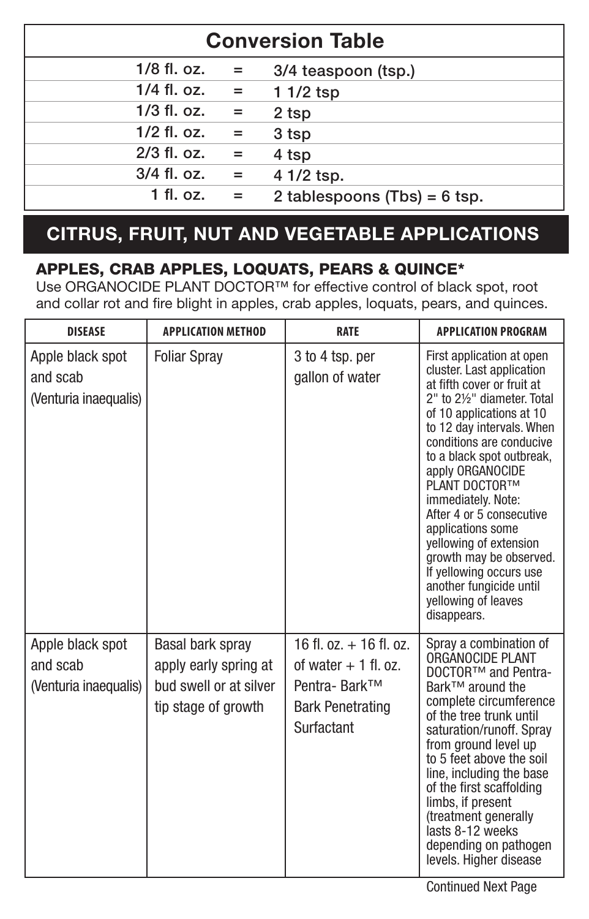| <b>Conversion Table</b> |     |                                |  |
|-------------------------|-----|--------------------------------|--|
| $1/8$ fl. oz.           | $=$ | 3/4 teaspoon (tsp.)            |  |
| $1/4$ fl. oz.           | $=$ | 1 1/2 tsp                      |  |
| $1/3$ fl. oz.           | $=$ | 2 tsp                          |  |
| $1/2$ fl. oz.           | $=$ | 3 tsp                          |  |
| $2/3$ fl. oz.           | $=$ | 4 tsp                          |  |
| 3/4 fl. oz.             | $=$ | 4 1/2 tsp.                     |  |
| $1$ fl. oz.             | $=$ | 2 tablespoons $(Tbs) = 6$ tsp. |  |

### **CITRUS, FRUIT, NUT AND VEGETABLE APPLICATIONS**

### APPLES, CRAB APPLES, LOQUATS, PEARS & QUINCE\*

Use ORGANOCIDE PLANT DOCTOR™ for effective control of black spot, root and collar rot and fire blight in apples, crab apples, loquats, pears, and quinces.

| <b>DISEASE</b>                                        | <b>APPLICATION METHOD</b>                                                                  | <b>RATE</b>                                                                                                      | <b>APPLICATION PROGRAM</b>                                                                                                                                                                                                                                                                                                                                                                                                                                                                         |
|-------------------------------------------------------|--------------------------------------------------------------------------------------------|------------------------------------------------------------------------------------------------------------------|----------------------------------------------------------------------------------------------------------------------------------------------------------------------------------------------------------------------------------------------------------------------------------------------------------------------------------------------------------------------------------------------------------------------------------------------------------------------------------------------------|
| Apple black spot<br>and scab<br>(Venturia inaequalis) | <b>Foliar Spray</b>                                                                        | 3 to 4 tsp. per<br>gallon of water                                                                               | First application at open<br>cluster. Last application<br>at fifth cover or fruit at<br>2" to 216" diameter. Total<br>of 10 applications at 10<br>to 12 day intervals. When<br>conditions are conducive<br>to a black spot outbreak,<br>apply ORGANOCIDE<br>PLANT DOCTORTM<br>immediately. Note:<br>After 4 or 5 consecutive<br>applications some<br>yellowing of extension<br>growth may be observed.<br>If yellowing occurs use<br>another fungicide until<br>vellowing of leaves<br>disappears. |
| Apple black spot<br>and scab<br>(Venturia inaequalis) | Basal bark spray<br>apply early spring at<br>bud swell or at silver<br>tip stage of growth | $16$ fl. $oz. + 16$ fl. $oz.$<br>of water $+1$ fl. oz.<br>Pentra- Bark™<br><b>Bark Penetrating</b><br>Surfactant | Spray a combination of<br>ORGÁNOCIDE PLANT<br>DOCTOR™ and Pentra-<br>Bark™ around the<br>complete circumference<br>of the tree trunk until<br>saturation/runoff. Spray<br>from ground level up<br>to 5 feet above the soil<br>line, including the base<br>of the first scaffolding<br>limbs, if present<br>(treatment generally<br>lasts 8-12 weeks<br>depending on pathogen<br>levels. Higher disease                                                                                             |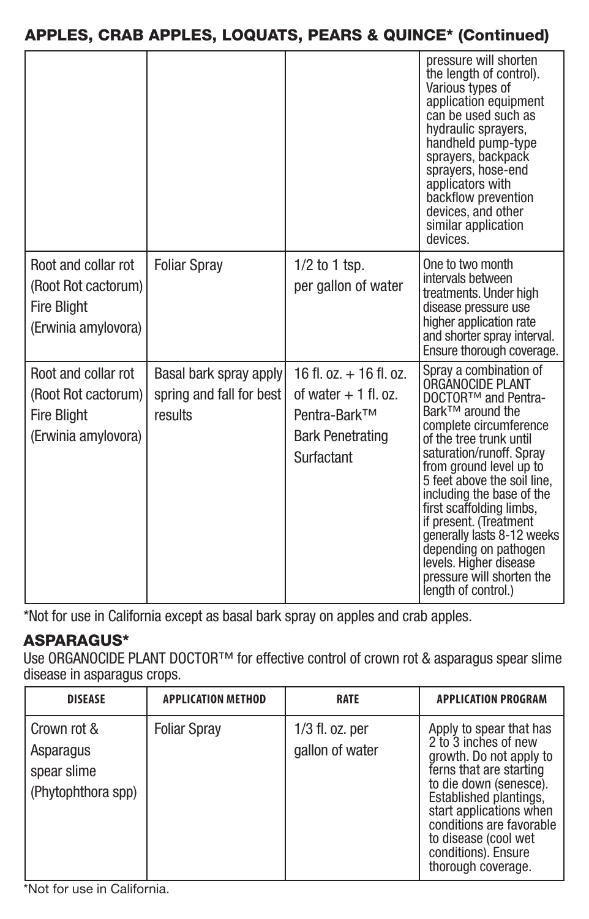#### APPLES, CRAB APPLES, LOQUATS, PEARS & QUINCE\* (Continued)

|                                                                                         |                                                               |                                                                                                                 | pressure will shorten<br>the lenath of control).<br>Various types of<br>application equipment<br>can be used such as<br>hydraulic sprayers,<br>handheld pump-type<br>sprayers, backpack<br>sprayers, hose-end<br>applicators with<br>backflow prevention<br>devices, and other<br>similar application<br>devices.                                                                                                                                        |
|-----------------------------------------------------------------------------------------|---------------------------------------------------------------|-----------------------------------------------------------------------------------------------------------------|----------------------------------------------------------------------------------------------------------------------------------------------------------------------------------------------------------------------------------------------------------------------------------------------------------------------------------------------------------------------------------------------------------------------------------------------------------|
| Root and collar rot<br>(Root Rot cactorum)                                              | <b>Foliar Spray</b>                                           | $1/2$ to 1 tsp.<br>per gallon of water                                                                          | One to two month<br>intervals between<br>treatments. Under high                                                                                                                                                                                                                                                                                                                                                                                          |
| <b>Fire Blight</b><br>(Erwinia amylovora)                                               |                                                               |                                                                                                                 | disease pressure use<br>higher application rate<br>and shorter spray interval.<br>Ensure thorough coverage.                                                                                                                                                                                                                                                                                                                                              |
| Root and collar rot<br>(Root Rot cactorum)<br><b>Fire Blight</b><br>(Erwinia amylovora) | Basal bark spray apply<br>spring and fall for best<br>results | $16$ fl. $oz. + 16$ fl. $oz.$<br>of water $+1$ fl. oz.<br>Pentra-Bark™<br><b>Bark Penetrating</b><br>Surfactant | Spray a combination of<br>ORGANOCIDE PLANT<br>DOCTOR™ and Pentra-<br>Bark™ around the<br>complete circumference<br>of the tree trunk until<br>saturation/runoff, Sprav<br>from ground level up to<br>5 feet above the soil line.<br>including the base of the<br>first scaffolding limbs.<br>if present. (Treatment<br>generally lasts 8-12 weeks<br>depending on pathogen<br>levels. Higher disease<br>pressure will shorten the<br>length of control.) |

\*Not for use in California except as basal bark spray on apples and crab apples.

### ASPARAGUS\*

Use ORGANOCIDE PLANT DOCTOR™ for effective control of crown rot & asparagus spear slime disease in asparagus crops.

| <b>DISEASE</b>                                                | <b>APPLICATION METHOD</b> | <b>RATE</b>                        | <b>APPLICATION PROGRAM</b>                                                                                                                                                                                                                                                            |
|---------------------------------------------------------------|---------------------------|------------------------------------|---------------------------------------------------------------------------------------------------------------------------------------------------------------------------------------------------------------------------------------------------------------------------------------|
| Crown rot &<br>Asparagus<br>spear slime<br>(Phytophthora spp) | <b>Foliar Spray</b>       | 1/3 fl. oz. per<br>gallon of water | Apply to spear that has<br>2 to 3 inches of new<br>growth. Do not apply to<br>ferns that are starting<br>to die down (senesce).<br>Established plantings.<br>start applications when<br>conditions are favorable<br>to disease (cool wet<br>conditions). Ensure<br>thorough coverage. |

\*Not for use in California.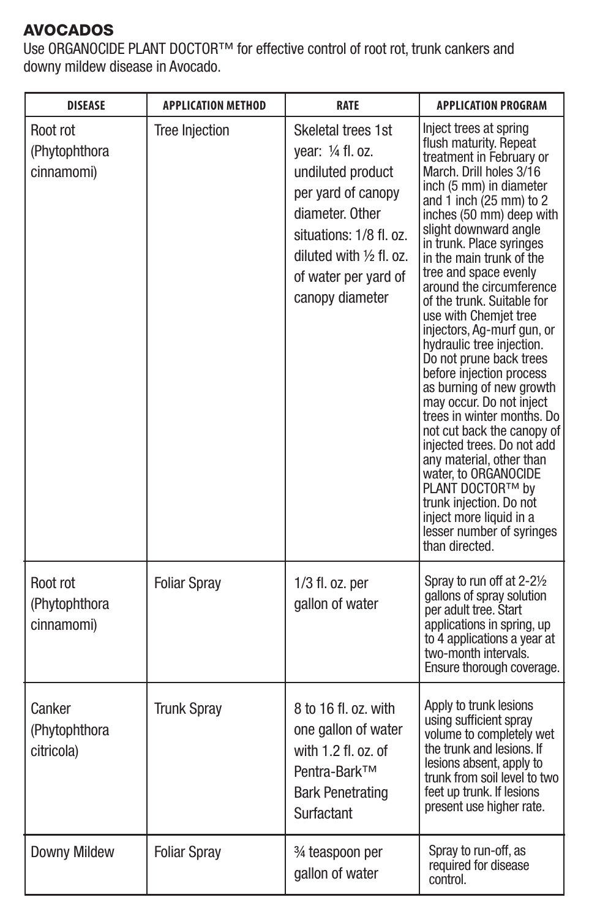### AVOCADOS

Use ORGANOCIDE PLANT DOCTOR™ for effective control of root rot, trunk cankers and downy mildew disease in Avocado.

| <b>DISEASE</b>                          | <b>APPLICATION METHOD</b> | <b>RATE</b>                                                                                                                                                                                             | <b>APPLICATION PROGRAM</b>                                                                                                                                                                                                                                                                                                                                                                                                                                                                                                                                                                                                                                                                                                                                                                                                             |
|-----------------------------------------|---------------------------|---------------------------------------------------------------------------------------------------------------------------------------------------------------------------------------------------------|----------------------------------------------------------------------------------------------------------------------------------------------------------------------------------------------------------------------------------------------------------------------------------------------------------------------------------------------------------------------------------------------------------------------------------------------------------------------------------------------------------------------------------------------------------------------------------------------------------------------------------------------------------------------------------------------------------------------------------------------------------------------------------------------------------------------------------------|
| Root rot<br>(Phytophthora<br>cinnamomi) | <b>Tree Injection</b>     | Skeletal trees 1st<br>vear: 1/4 fl. oz.<br>undiluted product<br>per yard of canopy<br>diameter. Other<br>situations: 1/8 fl. oz.<br>diluted with 1/2 fl. oz.<br>of water per vard of<br>canopy diameter | Inject trees at spring<br>flush maturity. Repeat<br>treatment in February or<br>March. Drill holes 3/16<br>inch (5 mm) in diameter<br>and 1 inch (25 mm) to 2<br>inches (50 mm) deep with<br>slight downward angle<br>in trunk. Place svringes<br>in the main trunk of the<br>tree and space evenly<br>around the circumference<br>of the trunk. Suitable for<br>use with Chemjet tree<br>injectors, Ag-murf gun, or<br>hydraulic tree injection.<br>Do not prune back trees<br>before injection process<br>as burning of new growth<br>may occur. Do not inject<br>trees in winter months. Do<br>not cut back the canopy of<br>injected trees. Do not add<br>any material, other than<br>water, to ORGANOCIDE<br>PLANT DOCTOR™ by<br>trunk injection. Do not<br>inject more liquid in a<br>lesser number of svringes<br>than directed |
| Root rot<br>(Phytophthora<br>cinnamomi) | <b>Foliar Spray</b>       | $1/3$ fl. oz. per<br>gallon of water                                                                                                                                                                    | Spray to run off at 2-21/2<br>gallons of spray solution<br>per adult tree. Start<br>applications in spring, up<br>to 4 applications a year at<br>two-month intervals.<br>Ensure thorough coverage.                                                                                                                                                                                                                                                                                                                                                                                                                                                                                                                                                                                                                                     |
| Canker<br>(Phytophthora<br>citricola)   | <b>Trunk Spray</b>        | 8 to 16 fl. oz. with<br>one gallon of water<br>with $1.2$ fl. $oz$ . of<br>Pentra-Bark™<br><b>Bark Penetrating</b><br>Surfactant                                                                        | Apply to trunk lesions<br>using sufficient spray<br>volume to completely wet<br>the trunk and lesions. If<br>lesions absent, apply to<br>trunk from soil level to two<br>feet up trunk. If lesions<br>present use higher rate.                                                                                                                                                                                                                                                                                                                                                                                                                                                                                                                                                                                                         |
| Downy Mildew                            | <b>Foliar Spray</b>       | 3⁄4 teaspoon per<br>gallon of water                                                                                                                                                                     | Spray to run-off, as<br>required for disease<br>control.                                                                                                                                                                                                                                                                                                                                                                                                                                                                                                                                                                                                                                                                                                                                                                               |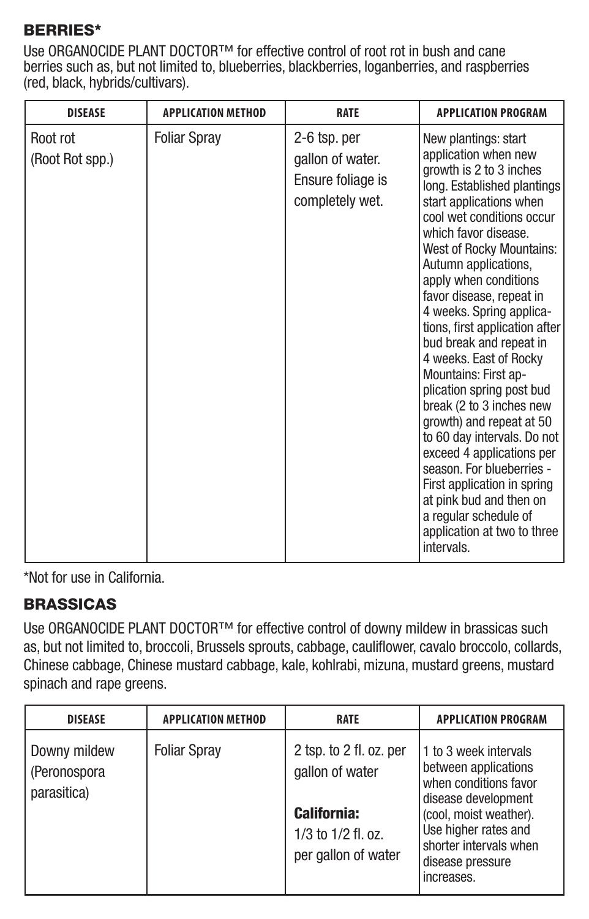#### BERRIES\*

Use ORGANOCIDE PLANT DOCTOR™ for effective control of root rot in bush and cane berries such as, but not limited to, blueberries, blackberries, loganberries, and raspberries (red, black, hybrids/cultivars).

| <b>DISEASE</b>              | <b>APPLICATION METHOD</b> | <b>RATE</b>                                                              | <b>APPLICATION PROGRAM</b>                                                                                                                                                                                                                                                                                                                                                                                                                                                                                                                                                                                                                                                                                                                               |
|-----------------------------|---------------------------|--------------------------------------------------------------------------|----------------------------------------------------------------------------------------------------------------------------------------------------------------------------------------------------------------------------------------------------------------------------------------------------------------------------------------------------------------------------------------------------------------------------------------------------------------------------------------------------------------------------------------------------------------------------------------------------------------------------------------------------------------------------------------------------------------------------------------------------------|
| Root rot<br>(Root Rot spp.) | <b>Foliar Spray</b>       | 2-6 tsp. per<br>gallon of water.<br>Ensure foliage is<br>completely wet. | New plantings: start<br>application when new<br>growth is 2 to 3 inches<br>long. Established plantings<br>start applications when<br>cool wet conditions occur<br>which favor disease.<br>West of Rocky Mountains:<br>Autumn applications,<br>apply when conditions<br>favor disease, repeat in<br>4 weeks. Spring applica-<br>tions, first application after<br>bud break and repeat in<br>4 weeks. East of Rocky<br>Mountains: First ap-<br>plication spring post bud<br>break (2 to 3 inches new<br>growth) and repeat at 50<br>to 60 day intervals. Do not<br>exceed 4 applications per<br>season. For blueberries -<br>First application in spring<br>at pink bud and then on<br>a regular schedule of<br>application at two to three<br>intervals. |

\*Not for use in California.

#### BRASSICAS

Use ORGANOCIDE PLANT DOCTOR™ for effective control of downy mildew in brassicas such as, but not limited to, broccoli, Brussels sprouts, cabbage, cauliflower, cavalo broccolo, collards, Chinese cabbage, Chinese mustard cabbage, kale, kohlrabi, mizuna, mustard greens, mustard spinach and rape greens.

| <b>DISEASE</b>                              | <b>APPLICATION METHOD</b> | <b>RATE</b>                                                                                                   | <b>APPLICATION PROGRAM</b>                                                                                                                                                                                  |
|---------------------------------------------|---------------------------|---------------------------------------------------------------------------------------------------------------|-------------------------------------------------------------------------------------------------------------------------------------------------------------------------------------------------------------|
| Downy mildew<br>(Peronospora<br>parasitica) | <b>Foliar Spray</b>       | 2 tsp. to 2 fl. oz. per<br>gallon of water<br><b>California:</b><br>1/3 to 1/2 fl. oz.<br>per gallon of water | 1 to 3 week intervals<br>between applications<br>when conditions favor<br>disease development<br>(cool, moist weather).<br>Use higher rates and<br>shorter intervals when<br>disease pressure<br>increases. |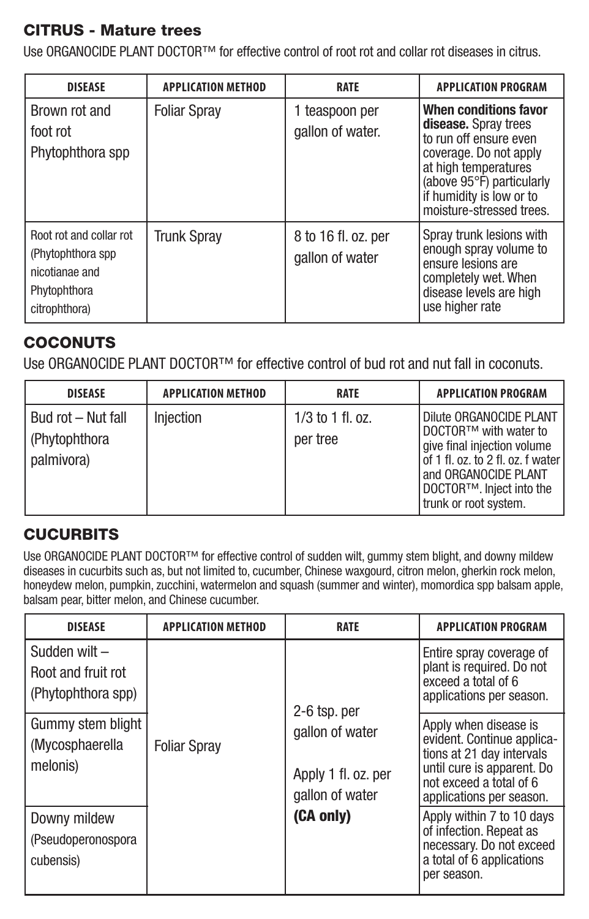#### CITRUS - Mature trees

Use ORGANOCIDE PLANT DOCTOR™ for effective control of root rot and collar rot diseases in citrus.

| <b>DISEASE</b>                                                                                  | <b>APPLICATION METHOD</b> | <b>RATE</b>                            | <b>APPLICATION PROGRAM</b>                                                                                                                                                                                     |
|-------------------------------------------------------------------------------------------------|---------------------------|----------------------------------------|----------------------------------------------------------------------------------------------------------------------------------------------------------------------------------------------------------------|
| Brown rot and<br>foot rot<br>Phytophthora spp                                                   | <b>Foliar Spray</b>       | 1 teaspoon per<br>gallon of water.     | When conditions favor<br>disease. Spray trees<br>to run off ensure even<br>coverage. Do not apply<br>at high temperatures<br>(above 95°F) particularly<br>if humidity is low or to<br>moisture-stressed trees. |
| Root rot and collar rot<br>(Phytophthora spp<br>nicotianae and<br>Phytophthora<br>citrophthora) | <b>Trunk Spray</b>        | 8 to 16 fl. oz. per<br>gallon of water | Spray trunk lesions with<br>enough spray volume to<br>ensure lesions are<br>completely wet. When<br>disease levels are high<br>use higher rate                                                                 |

#### **COCONUTS**

Use ORGANOCIDE PLANT DOCTOR™ for effective control of bud rot and nut fall in coconuts.

| <b>DISEASE</b>                                     | <b>APPLICATION METHOD</b> | <b>RATE</b>                  | <b>APPLICATION PROGRAM</b>                                                                                                                                                                        |
|----------------------------------------------------|---------------------------|------------------------------|---------------------------------------------------------------------------------------------------------------------------------------------------------------------------------------------------|
| Bud rot - Nut fall<br>(Phytophthora)<br>palmivora) | Injection                 | 1/3 to 1 fl. oz.<br>per tree | Dilute ORGANOCIDE PLANT<br>DOCTOR™ with water to<br>give final injection volume<br>of 1 fl. oz. to 2 fl. oz. f water<br>and ORGANOCIDE PLANT<br>DOCTOR™. Inject into the<br>trunk or root system. |

#### **CUCURBITS**

Use ORGANOCIDE PLANT DOCTOR™ for effective control of sudden wilt, gummy stem blight, and downy mildew diseases in cucurbits such as, but not limited to, cucumber, Chinese waxgourd, citron melon, gherkin rock melon, honeydew melon, pumpkin, zucchini, watermelon and squash (summer and winter), momordica spp balsam apple, balsam pear, bitter melon, and Chinese cucumber.

| <b>DISEASE</b>                                           | <b>APPLICATION METHOD</b> | <b>RATE</b>                                               | <b>APPLICATION PROGRAM</b>                                                                                                                                            |
|----------------------------------------------------------|---------------------------|-----------------------------------------------------------|-----------------------------------------------------------------------------------------------------------------------------------------------------------------------|
| Sudden wilt-<br>Root and fruit rot<br>(Phytophthora spp) |                           | 2-6 tsp. per                                              | Entire spray coverage of<br>plant is required. Do not<br>exceed a total of 6<br>applications per season.                                                              |
| Gummy stem blight<br>(Mycosphaerella<br>melonis)         | <b>Foliar Spray</b>       | gallon of water<br>Apply 1 fl. oz. per<br>gallon of water | Apply when disease is<br>evident. Continue applica-<br>tions at 21 day intervals<br>until cure is apparent. Do<br>not exceed a total of 6<br>applications per season. |
| Downy mildew<br>(Pseudoperonospora<br>cubensis)          |                           | (CA only)                                                 | Apply within 7 to 10 days<br>of infection. Repeat as<br>necessary. Do not exceed<br>a total of 6 applications<br>per season.                                          |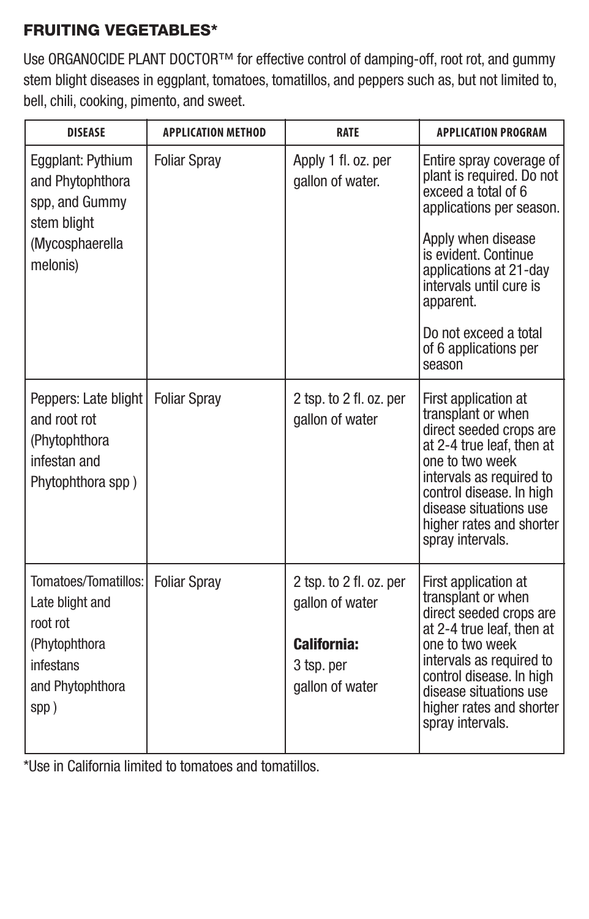### FRUITING VEGETABLES\*

Use ORGANOCIDE PLANT DOCTOR™ for effective control of damping-off, root rot, and gummy stem blight diseases in eggplant, tomatoes, tomatillos, and peppers such as, but not limited to, bell, chili, cooking, pimento, and sweet.

| <b>DISEASE</b>                                                                             | <b>APPLICATION METHOD</b> | <b>RATE</b>                                  | <b>APPLICATION PROGRAM</b>                                                                                                                                                                                                                              |
|--------------------------------------------------------------------------------------------|---------------------------|----------------------------------------------|---------------------------------------------------------------------------------------------------------------------------------------------------------------------------------------------------------------------------------------------------------|
| Eggplant: Pythium<br>and Phytophthora<br>spp, and Gummy<br>stem blight<br>(Mycosphaerella  | <b>Foliar Spray</b>       | Apply 1 fl. oz. per<br>gallon of water.      | Entire spray coverage of<br>plant is required. Do not<br>exceed a total of 6<br>applications per season.<br>Apply when disease                                                                                                                          |
| melonis)                                                                                   |                           |                                              | is evident. Continue<br>applications at 21-day<br>intervals until cure is<br>apparent.                                                                                                                                                                  |
|                                                                                            |                           |                                              | Do not exceed a total<br>of 6 applications per<br>season                                                                                                                                                                                                |
| Peppers: Late blight<br>and root rot<br>(Phytophthora<br>infestan and<br>Phytophthora spp) | <b>Foliar Sprav</b>       | 2 tsp. to 2 fl. oz. per<br>gallon of water   | First application at<br>transplant or when<br>direct seeded crops are<br>at 2-4 true leaf, then at<br>one to two week<br>intervals as required to<br>control disease. In high<br>disease situations use<br>higher rates and shorter<br>spray intervals. |
| Tomatoes/Tomatillos:<br>Late blight and<br>root rot                                        | <b>Foliar Spray</b>       | 2 tsp. to 2 fl. oz. per<br>gallon of water   | First application at<br>transplant or when<br>direct seeded crops are<br>at 2-4 true leaf, then at                                                                                                                                                      |
| (Phytophthora<br>infestans<br>and Phytophthora<br>spp)                                     |                           | California:<br>3 tsp. per<br>gallon of water | one to two week<br>intervals as required to<br>control disease. In high<br>disease situations use<br>higher rates and shorter<br>sprav intervals.                                                                                                       |

\*Use in California limited to tomatoes and tomatillos.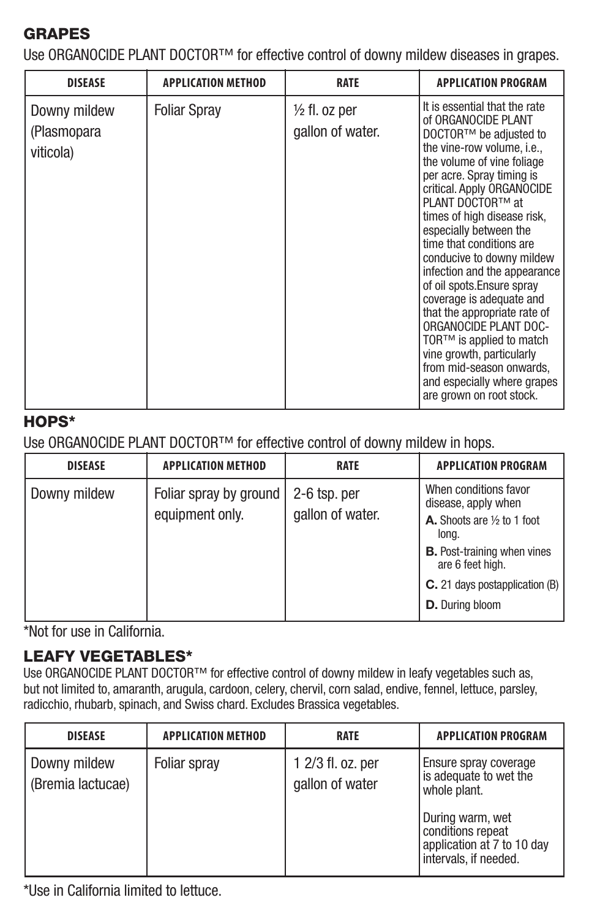#### GRAPES

Use ORGANOCIDE PLANT DOCTOR™ for effective control of downy mildew diseases in grapes.

| <b>DISEASE</b>                           | <b>APPLICATION METHOD</b> | <b>RATE</b>                                  | <b>APPLICATION PROGRAM</b>                                                                                                                                                                                                                                                                                                                                                                                                                                                                                                                                                                                                                     |
|------------------------------------------|---------------------------|----------------------------------------------|------------------------------------------------------------------------------------------------------------------------------------------------------------------------------------------------------------------------------------------------------------------------------------------------------------------------------------------------------------------------------------------------------------------------------------------------------------------------------------------------------------------------------------------------------------------------------------------------------------------------------------------------|
| Downy mildew<br>(Plasmopara<br>viticola) | <b>Foliar Spray</b>       | $\frac{1}{2}$ fl. oz per<br>gallon of water. | It is essential that the rate<br>of ORGANOCIDE PLANT<br>DOCTOR™ be adiusted to<br>the vine-row volume, i.e.,<br>the volume of vine foliage<br>per acre. Spray timing is<br>critical. Apply ORGANOCIDE<br>PLANT DOCTOR™ at<br>times of high disease risk.<br>especially between the<br>time that conditions are<br>conducive to downy mildew<br>infection and the appearance<br>of oil spots. Ensure sprav<br>coverage is adequate and<br>that the appropriate rate of<br>ORGANOCIDE PLANT DOC-<br>TOR™ is applied to match<br>vine growth, particularly<br>from mid-season onwards.<br>and especially where grapes<br>are grown on root stock. |

#### HOPS\*

Use ORGANOCIDE PLANT DOCTOR™ for effective control of downy mildew in hops.

| <b>DISEASE</b> | <b>APPLICATION METHOD</b>           | <b>RATE</b>  | <b>APPLICATION PROGRAM</b>                             |
|----------------|-------------------------------------|--------------|--------------------------------------------------------|
| Downy mildew   | Foliar spray by ground              | 2-6 tsp. per | When conditions favor<br>disease, apply when           |
|                | gallon of water.<br>equipment only. |              | A. Shoots are 1/2 to 1 foot<br>long.                   |
|                |                                     |              | <b>B.</b> Post-training when vines<br>are 6 feet high. |
|                |                                     |              | C. 21 days postapplication (B)                         |
|                |                                     |              | D. During bloom                                        |

\*Not for use in California.

#### LEAFY VEGETABLES\*

Use ORGANOCIDE PLANT DOCTOR™ for effective control of downy mildew in leafy vegetables such as, but not limited to, amaranth, arugula, cardoon, celery, chervil, corn salad, endive, fennel, lettuce, parsley, radicchio, rhubarb, spinach, and Swiss chard. Excludes Brassica vegetables.

| <b>DISEASE</b>                    | <b>APPLICATION METHOD</b> | <b>RATE</b>                          | <b>APPLICATION PROGRAM</b>                                                                   |
|-----------------------------------|---------------------------|--------------------------------------|----------------------------------------------------------------------------------------------|
| Downy mildew<br>(Bremia lactucae) | Foliar spray              | 1 2/3 fl. oz. per<br>gallon of water | Ensure spray coverage<br>is adequate to wet the<br>whole plant.                              |
|                                   |                           |                                      | During warm, wet<br>conditions repeat<br>application at 7 to 10 day<br>intervals, if needed. |

\*Use in California limited to lettuce.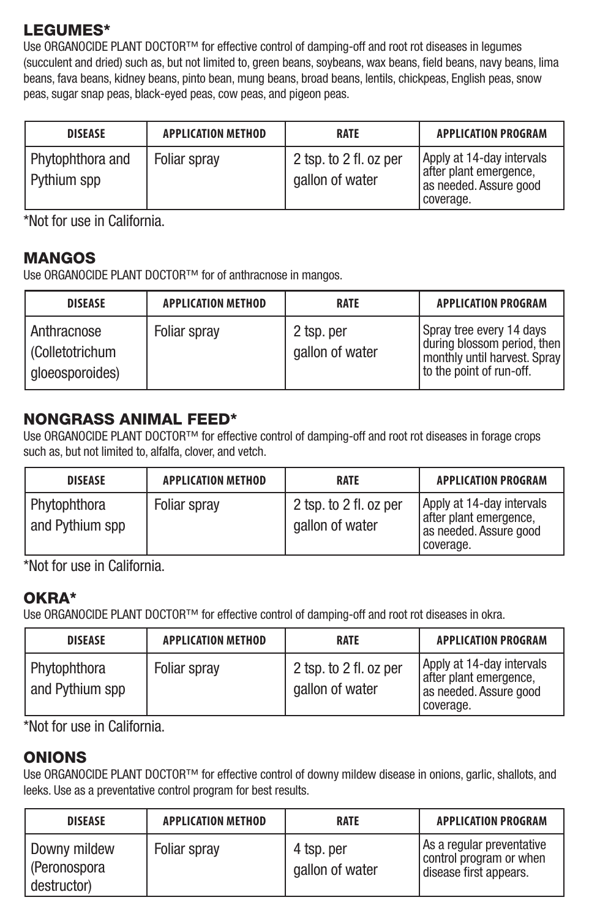#### LEGUMES\*

Use ORGANOCIDE PLANT DOCTOR™ for effective control of damping-off and root rot diseases in legumes (succulent and dried) such as, but not limited to, green beans, soybeans, wax beans, field beans, navy beans, lima beans, fava beans, kidney beans, pinto bean, mung beans, broad beans, lentils, chickpeas, English peas, snow peas, sugar snap peas, black-eyed peas, cow peas, and pigeon peas.

| <b>DISEASE</b>                  | <b>APPLICATION METHOD</b> | <b>RATE</b>                               | <b>APPLICATION PROGRAM</b>                                                                 |
|---------------------------------|---------------------------|-------------------------------------------|--------------------------------------------------------------------------------------------|
| Phytophthora and<br>Pythium spp | Foliar sprav              | 2 tsp. to 2 fl. oz per<br>gallon of water | Apply at 14-day intervals<br>after plant emergence,<br>as needed. Assure good<br>coverage. |

\*Not for use in California.

#### MANGOS

Use ORGANOCIDE PLANT DOCTOR™ for of anthracnose in mangos.

| <b>DISEASE</b>                                   | <b>APPLICATION METHOD</b> | <b>RATE</b>                   | <b>APPLICATION PROGRAM</b>                                                                                            |
|--------------------------------------------------|---------------------------|-------------------------------|-----------------------------------------------------------------------------------------------------------------------|
| Anthracnose<br>Colletotrichum<br>gloeosporoides) | Foliar sprav              | 2 tsp. per<br>gallon of water | Spray tree every 14 days<br>during blossom period, then<br>I monthly until harvest. Spray<br>to the point of run-off. |

#### NONGRASS ANIMAL FEED\*

Use ORGANOCIDE PLANT DOCTOR™ for effective control of damping-off and root rot diseases in forage crops such as, but not limited to, alfalfa, clover, and vetch.

| <b>DISEASE</b>                  | <b>APPLICATION METHOD</b> | <b>RATE</b>                               | <b>APPLICATION PROGRAM</b>                                                                 |
|---------------------------------|---------------------------|-------------------------------------------|--------------------------------------------------------------------------------------------|
| Phytophthora<br>and Pythium spp | Foliar sprav              | 2 tsp. to 2 fl. oz per<br>gallon of water | Apply at 14-day intervals<br>after plant emergence.<br>as needed. Assure good<br>coverage. |

\*Not for use in California.

#### OKRA\*

Use ORGANOCIDE PLANT DOCTOR™ for effective control of damping-off and root rot diseases in okra.

| <b>DISEASE</b>                  | <b>APPLICATION METHOD</b> | <b>RATE</b>                               | <b>APPLICATION PROGRAM</b>                                                                 |
|---------------------------------|---------------------------|-------------------------------------------|--------------------------------------------------------------------------------------------|
| Phytophthora<br>and Pythium spp | Foliar sprav              | 2 tsp. to 2 fl. oz per<br>gallon of water | Apply at 14-day intervals<br>after plant emergence,<br>as needed. Assure good<br>coverage. |

\*Not for use in California.

#### ONIONS

Use ORGANOCIDE PLANT DOCTOR™ for effective control of downy mildew disease in onions, garlic, shallots, and leeks. Use as a preventative control program for best results.

| <b>DISEASE</b>                              | <b>APPLICATION METHOD</b> | <b>RATE</b>                   | <b>APPLICATION PROGRAM</b>                                                     |
|---------------------------------------------|---------------------------|-------------------------------|--------------------------------------------------------------------------------|
| Downy mildew<br>(Peronospora<br>destructor) | Foliar sprav              | 4 tsp. per<br>gallon of water | As a regular preventative<br>control program or when<br>disease first appears. |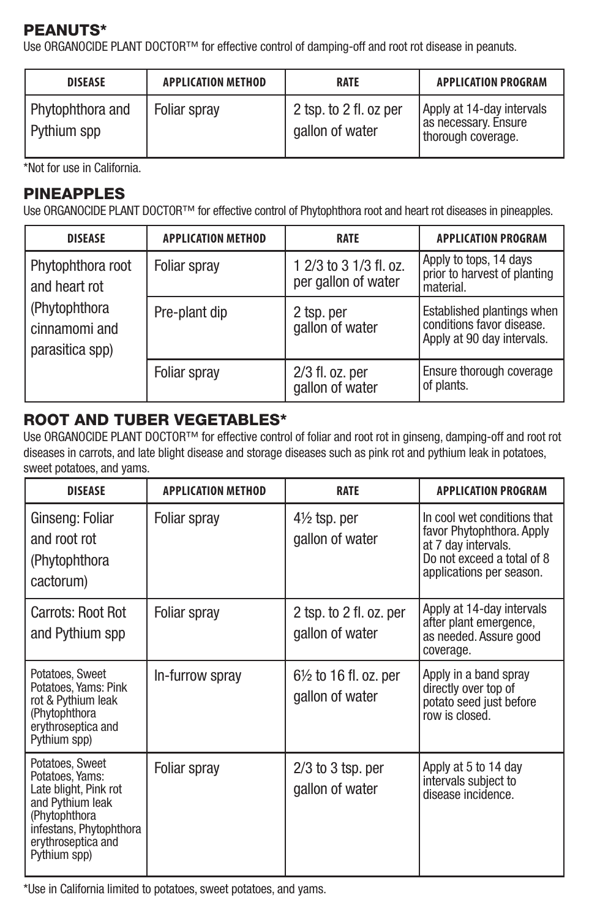#### PEANUTS\*

Use ORGANOCIDE PLANT DOCTOR™ for effective control of damping-off and root rot disease in peanuts.

| <b>DISEASE</b>                  | <b>APPLICATION METHOD</b> | <b>RATE</b>                               | <b>APPLICATION PROGRAM</b>                                              |
|---------------------------------|---------------------------|-------------------------------------------|-------------------------------------------------------------------------|
| Phytophthora and<br>Pythium spp | Foliar sprav              | 2 tsp. to 2 fl. oz per<br>gallon of water | Apply at 14-day intervals<br>as necessary. Ensure<br>thorough coverage. |

\*Not for use in California.

#### PINEAPPLES

Use ORGANOCIDE PLANT DOCTOR™ for effective control of Phytophthora root and heart rot diseases in pineapples.

| <b>DISEASE</b>                                                                          | <b>APPLICATION METHOD</b> | <b>RATE</b>                                   | <b>APPLICATION PROGRAM</b>                                                            |
|-----------------------------------------------------------------------------------------|---------------------------|-----------------------------------------------|---------------------------------------------------------------------------------------|
| Phytophthora root<br>and heart rot<br>(Phytophthora<br>cinnamomi and<br>parasitica spp) | Foliar sprav              | 1 2/3 to 3 1/3 fl. oz.<br>per gallon of water | Apply to tops, 14 days<br>prior to harvest of planting<br>material.                   |
|                                                                                         | Pre-plant dip             | 2 tsp. per<br>gallon of water                 | Established plantings when<br>conditions favor disease.<br>Apply at 90 day intervals. |
|                                                                                         | Foliar spray              | $2/3$ fl. oz. per<br>gallon of water          | Ensure thorough coverage<br>of plants.                                                |

#### ROOT AND TUBER VEGETABLES\*

Use ORGANOCIDE PLANT DOCTOR™ for effective control of foliar and root rot in ginseng, damping-off and root rot diseases in carrots, and late blight disease and storage diseases such as pink rot and pythium leak in potatoes, sweet potatoes, and yams.

| DISFASE                                                                                                                                                           | <b>APPLICATION METHOD</b> | <b>RATE</b>                                | <b>APPLICATION PROGRAM</b>                                                                                                                |
|-------------------------------------------------------------------------------------------------------------------------------------------------------------------|---------------------------|--------------------------------------------|-------------------------------------------------------------------------------------------------------------------------------------------|
| Ginseng: Foliar<br>and root rot<br>(Phytophthora)<br>cactorum)                                                                                                    | Foliar spray              | $4\frac{1}{2}$ tsp. per<br>gallon of water | In cool wet conditions that<br>favor Phytophthora. Apply<br>at 7 day intervals.<br>Do not exceed a total of 8<br>applications per season. |
| Carrots: Root Rot<br>and Pythium spp                                                                                                                              | Foliar spray              | 2 tsp. to 2 fl. oz. per<br>gallon of water | Apply at 14-day intervals<br>after plant emergence,<br>as needed. Assure good<br>coverage.                                                |
| Potatoes, Sweet<br>Potatoes, Yams: Pink<br>rot & Pythium leak<br>(Phytophthora)<br>erythroseptica and<br>Pythium spp)                                             | In-furrow spray           | 61/2 to 16 fl. oz. per<br>gallon of water  | Apply in a band spray<br>directly over top of<br>potato seed just before<br>row is closed.                                                |
| Potatoes, Sweet<br>Potatoes, Yams:<br>Late blight. Pink rot<br>and Pythium leak<br>(Phytophthora<br>infestans, Phytophthora<br>erythroseptica and<br>Pythium spp) | Foliar spray              | $2/3$ to $3$ tsp. per<br>gallon of water   | Apply at 5 to 14 day<br>intervals subject to<br>disease incidence.                                                                        |

\*Use in California limited to potatoes, sweet potatoes, and yams.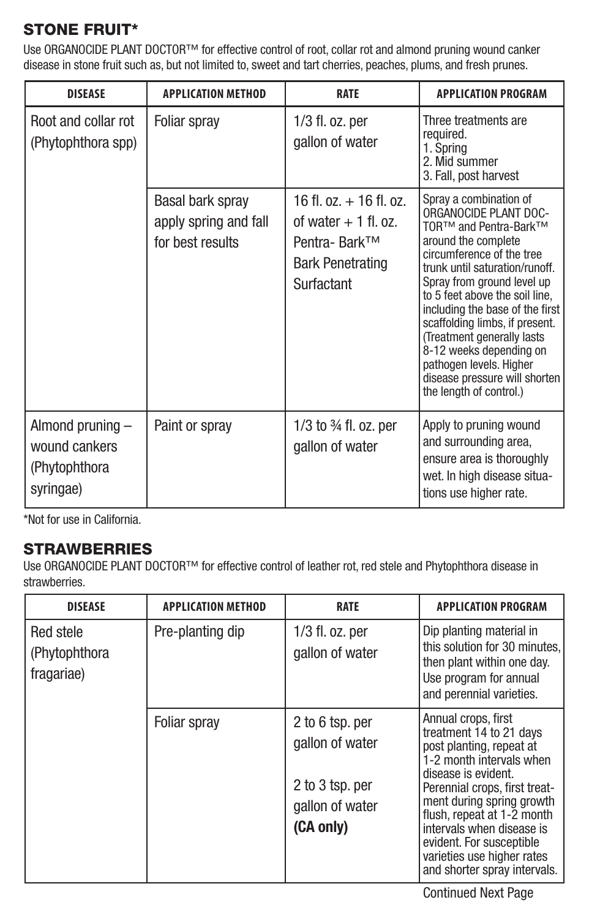#### STONE FRUIT\*

Use ORGANOCIDE PLANT DOCTOR™ for effective control of root, collar rot and almond pruning wound canker disease in stone fruit such as, but not limited to, sweet and tart cherries, peaches, plums, and fresh prunes.

| <b>DISEASE</b>                                                   | <b>APPLICATION METHOD</b>                                     | <b>RATE</b>                                                                                                  | <b>APPLICATION PROGRAM</b>                                                                                                                                                                                                                                                                                                                                                                                                                           |
|------------------------------------------------------------------|---------------------------------------------------------------|--------------------------------------------------------------------------------------------------------------|------------------------------------------------------------------------------------------------------------------------------------------------------------------------------------------------------------------------------------------------------------------------------------------------------------------------------------------------------------------------------------------------------------------------------------------------------|
| Root and collar rot<br>(Phytophthora spp)                        | Foliar spray                                                  | 1/3 fl. oz. per<br>gallon of water                                                                           | Three treatments are<br>required.<br>1. Spring<br>2. Mid summer<br>3. Fall, post harvest                                                                                                                                                                                                                                                                                                                                                             |
|                                                                  | Basal bark spray<br>apply spring and fall<br>for best results | 16 fl. oz. $+$ 16 fl. oz.<br>of water $+1$ fl. oz.<br>Pentra- Bark™<br><b>Bark Penetrating</b><br>Surfactant | Spray a combination of<br>ORGANOCIDE PLANT DOC-<br>TOR™ and Pentra-Bark™<br>around the complete<br>circumference of the tree<br>trunk until saturation/runoff.<br>Spray from ground level up<br>to 5 feet above the soil line.<br>including the base of the first<br>scaffolding limbs, if present.<br>(Treatment generally lasts)<br>8-12 weeks depending on<br>pathogen levels. Higher<br>disease pressure will shorten<br>the length of control.) |
| Almond pruning -<br>wound cankers<br>(Phytophthora)<br>syringae) | Paint or spray                                                | 1/3 to 3/4 fl. oz. per<br>gallon of water                                                                    | Apply to pruning wound<br>and surrounding area,<br>ensure area is thoroughly<br>wet. In high disease situa-<br>tions use higher rate.                                                                                                                                                                                                                                                                                                                |

\*Not for use in California.

#### STRAWBERRIES

Use ORGANOCIDE PLANT DOCTOR™ for effective control of leather rot, red stele and Phytophthora disease in strawberries.

| <b>DISEASE</b>                           | <b>APPLICATION METHOD</b> | <b>RATE</b>                                                                           | <b>APPLICATION PROGRAM</b>                                                                                                                                                                                                                                                                                                                       |
|------------------------------------------|---------------------------|---------------------------------------------------------------------------------------|--------------------------------------------------------------------------------------------------------------------------------------------------------------------------------------------------------------------------------------------------------------------------------------------------------------------------------------------------|
| Red stele<br>(Phytophthora<br>fragariae) | Pre-planting dip          | $1/3$ fl. oz. per<br>gallon of water                                                  | Dip planting material in<br>this solution for 30 minutes.<br>then plant within one day.<br>Use program for annual<br>and perennial varieties.                                                                                                                                                                                                    |
|                                          | Foliar spray              | 2 to 6 tsp. per<br>gallon of water<br>2 to 3 tsp. per<br>gallon of water<br>(CA only) | Annual crops, first<br>treatment 14 to 21 days<br>post planting, repeat at<br>1-2 month intervals when<br>disease is evident.<br>Perennial crops, first treat-<br>ment during spring growth<br>flush, repeat at 1-2 month<br>intervals when disease is<br>evident. For susceptible<br>varieties use higher rates<br>and shorter spray intervals. |

Continued Next Page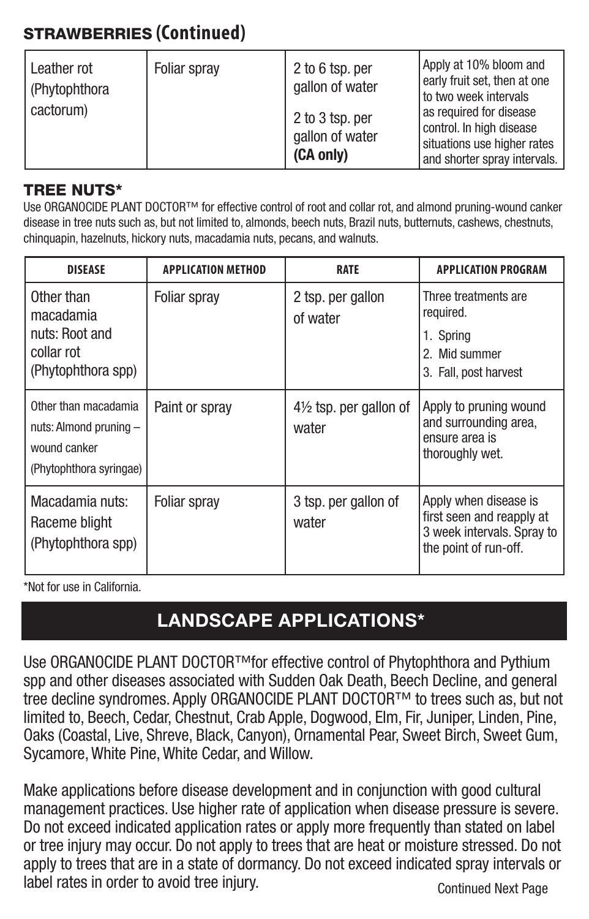### STRAWBERRIES **(Continued)**

| Leather rot<br>(Phytophthora) | Foliar spray | 2 to 6 tsp. per<br>gallon of water              | Apply at 10% bloom and<br>early fruit set, then at one<br>to two week intervals<br>as required for disease<br>control. In high disease<br>situations use higher rates<br>and shorter spray intervals. |
|-------------------------------|--------------|-------------------------------------------------|-------------------------------------------------------------------------------------------------------------------------------------------------------------------------------------------------------|
| cactorum)                     |              | 2 to 3 tsp. per<br>gallon of water<br>(CA only) |                                                                                                                                                                                                       |

#### TREE NUTS\*

Use ORGANOCIDE PLANT DOCTOR™ for effective control of root and collar rot, and almond pruning-wound canker disease in tree nuts such as, but not limited to, almonds, beech nuts, Brazil nuts, butternuts, cashews, chestnuts, chinquapin, hazelnuts, hickory nuts, macadamia nuts, pecans, and walnuts.

| <b>DISEASE</b>                                                                            | <b>APPLICATION METHOD</b> | <b>RATE</b>                      | <b>APPLICATION PROGRAM</b>                                                                                |
|-------------------------------------------------------------------------------------------|---------------------------|----------------------------------|-----------------------------------------------------------------------------------------------------------|
| Other than<br>macadamia<br>nuts: Root and<br>collar rot<br>(Phytophthora spp)             | Foliar spray              | 2 tsp. per gallon<br>of water    | Three treatments are<br>required.<br>1. Spring<br>2. Mid summer<br>3. Fall, post harvest                  |
| Other than macadamia<br>nuts: Almond pruning -<br>wound canker<br>(Phytophthora syringae) | Paint or spray            | 41/2 tsp. per gallon of<br>water | Apply to pruning wound<br>and surrounding area,<br>ensure area is<br>thoroughly wet.                      |
| Macadamia nuts:<br>Raceme blight<br>(Phytophthora spp)                                    | Foliar spray              | 3 tsp. per gallon of<br>water    | Apply when disease is<br>first seen and reapply at<br>3 week intervals. Spray to<br>the point of run-off. |

\*Not for use in California.

### **LANDSCAPE APPLICATIONS\***

Use ORGANOCIDE PLANT DOCTOR™for effective control of Phytophthora and Pythium spp and other diseases associated with Sudden Oak Death, Beech Decline, and general tree decline syndromes. Apply ORGANOCIDE PLANT DOCTOR™ to trees such as, but not limited to, Beech, Cedar, Chestnut, Crab Apple, Dogwood, Elm, Fir, Juniper, Linden, Pine, Oaks (Coastal, Live, Shreve, Black, Canyon), Ornamental Pear, Sweet Birch, Sweet Gum, Sycamore, White Pine, White Cedar, and Willow.

Make applications before disease development and in conjunction with good cultural management practices. Use higher rate of application when disease pressure is severe. Do not exceed indicated application rates or apply more frequently than stated on label or tree injury may occur. Do not apply to trees that are heat or moisture stressed. Do not apply to trees that are in a state of dormancy. Do not exceed indicated spray intervals or label rates in order to avoid tree injury. Continued Next Page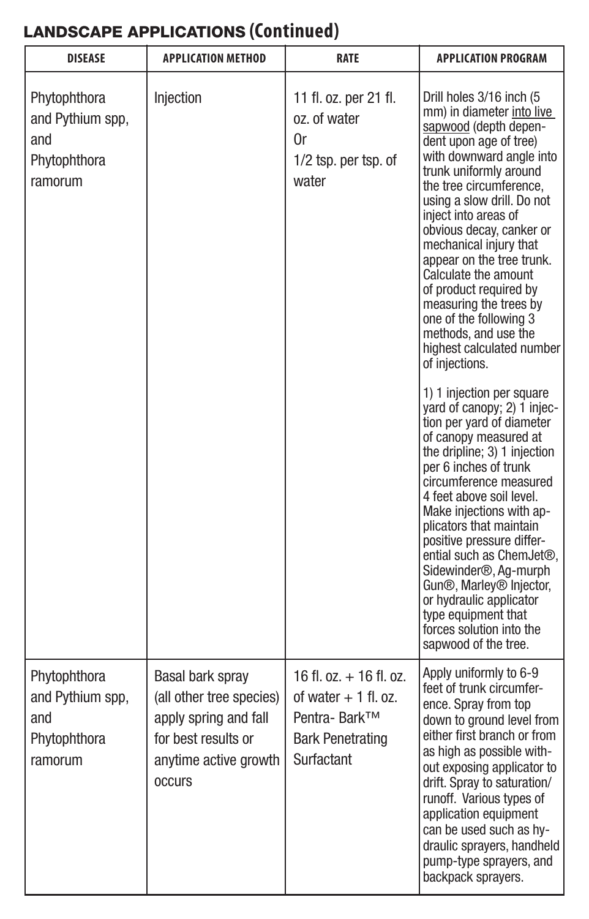## LANDSCAPE APPLICATIONS **(Continued)**

| <b>DISEASE</b>                                                     | <b>APPLICATION METHOD</b>                                                                                                               | <b>RATE</b>                                                                                                      | <b>APPLICATION PROGRAM</b>                                                                                                                                                                                                                                                                                                                                                                                                                                                                                                                                                                                                                                                                                                                                                                                                                                                                                                                                                                                                  |
|--------------------------------------------------------------------|-----------------------------------------------------------------------------------------------------------------------------------------|------------------------------------------------------------------------------------------------------------------|-----------------------------------------------------------------------------------------------------------------------------------------------------------------------------------------------------------------------------------------------------------------------------------------------------------------------------------------------------------------------------------------------------------------------------------------------------------------------------------------------------------------------------------------------------------------------------------------------------------------------------------------------------------------------------------------------------------------------------------------------------------------------------------------------------------------------------------------------------------------------------------------------------------------------------------------------------------------------------------------------------------------------------|
| Phytophthora<br>and Pythium spp.<br>and<br>Phytophthora<br>ramorum | Injection                                                                                                                               | 11 fl. oz. per 21 fl.<br>oz. of water<br>0r<br>$1/2$ tsp. per tsp. of<br>water                                   | Drill holes 3/16 inch (5)<br>mm) in diameter into live<br>sapwood (depth depen-<br>dent upon age of tree)<br>with downward angle into<br>trunk uniformly around<br>the tree circumference.<br>using a slow drill. Do not<br>iniect into areas of<br>obvious decay, canker or<br>mechanical injury that<br>appear on the tree trunk.<br>Calculate the amount<br>of product required by<br>measuring the trees by<br>one of the following 3<br>methods, and use the<br>highest calculated number<br>of injections.<br>1) 1 injection per square<br>yard of canopy; 2) 1 injec-<br>tion per yard of diameter<br>of canopy measured at<br>the dripline; 3) 1 injection<br>per 6 inches of trunk<br>circumference measured<br>4 feet above soil level.<br>Make iniections with ap-<br>plicators that maintain<br>positive pressure differ-<br>ential such as ChemJet®.<br>Sidewinder®, Ag-murph<br>Gun®, Marley® Injector,<br>or hydraulic applicator<br>type equipment that<br>forces solution into the<br>sapwood of the tree. |
| Phytophthora<br>and Pythium spp.<br>and<br>Phytophthora<br>ramorum | Basal bark spray<br>(all other tree species)<br>apply spring and fall<br>for best results or<br>anytime active growth<br><b>OCCULLS</b> | $16$ fl. $oz + 16$ fl. $oz$ .<br>of water $+1$ fl. oz.<br>Pentra- Bark™<br><b>Bark Penetrating</b><br>Surfactant | Apply uniformly to 6-9<br>feet of trunk circumfer-<br>ence. Spray from top<br>down to ground level from<br>either first branch or from<br>as high as possible with-<br>out exposing applicator to<br>drift. Spray to saturation/<br>runoff. Various types of<br>application equipment<br>can be used such as hv-<br>draulic sprayers, handheld<br>pump-type sprayers, and<br>backpack sprayers.                                                                                                                                                                                                                                                                                                                                                                                                                                                                                                                                                                                                                             |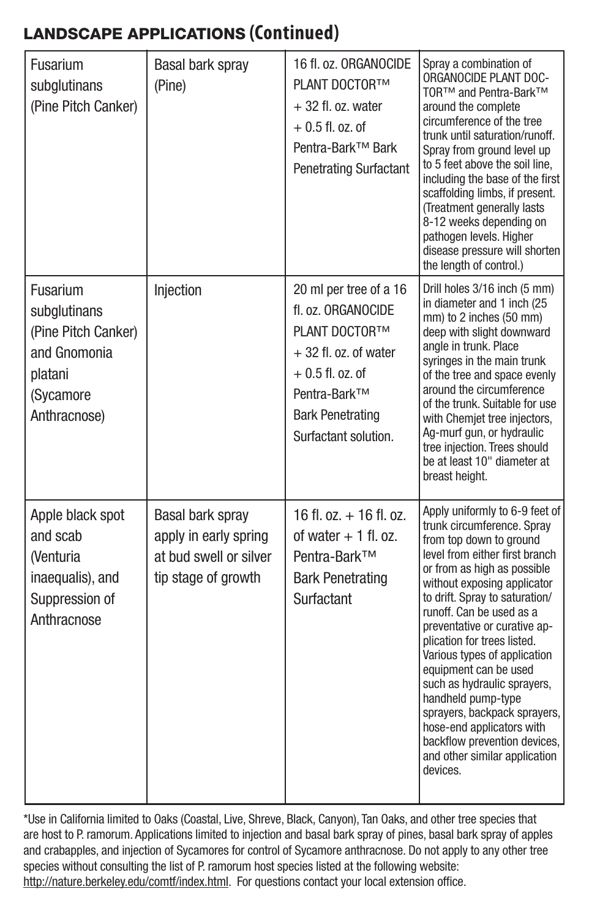### LANDSCAPE APPLICATIONS **(Continued)**

| Fusarium<br>subglutinans<br>(Pine Pitch Canker)                                                         | <b>Basal bark spray</b><br>(Pine)                                                          | 16 fl. oz. ORGANOCIDE<br>PLANT DOCTORTM<br>$+32$ fl. oz. water<br>$+0.5$ fl. oz. of<br>Pentra-Bark™ Bark<br><b>Penetrating Surfactant</b>                                       | Spray a combination of<br>ORGANOCIDE PLANT DOC-<br>TOR™ and Pentra-Bark™<br>around the complete<br>circumference of the tree<br>trunk until saturation/runoff.<br>Spray from ground level up<br>to 5 feet above the soil line.<br>including the base of the first<br>scaffolding limbs, if present.<br>(Treatment generally lasts<br>8-12 weeks depending on<br>pathogen levels. Higher<br>disease pressure will shorten<br>the length of control.)                                                                                                                          |
|---------------------------------------------------------------------------------------------------------|--------------------------------------------------------------------------------------------|---------------------------------------------------------------------------------------------------------------------------------------------------------------------------------|------------------------------------------------------------------------------------------------------------------------------------------------------------------------------------------------------------------------------------------------------------------------------------------------------------------------------------------------------------------------------------------------------------------------------------------------------------------------------------------------------------------------------------------------------------------------------|
| Fusarium<br>subglutinans<br>(Pine Pitch Canker)<br>and Gnomonia<br>platani<br>(Sycamore<br>Anthracnose) | Injection                                                                                  | 20 ml per tree of a 16<br>fl. oz. ORGANOCIDE<br>PLANT DOCTOR™<br>$+32$ fl. oz. of water<br>$+0.5$ fl. oz. of<br>Pentra-Bark™<br><b>Bark Penetrating</b><br>Surfactant solution. | Drill holes 3/16 inch (5 mm)<br>in diameter and 1 inch (25<br>mm) to 2 inches (50 mm)<br>deep with slight downward<br>angle in trunk. Place<br>syringes in the main trunk<br>of the tree and space evenly<br>around the circumference<br>of the trunk. Suitable for use<br>with Chemiet tree injectors.<br>Ag-murf gun, or hydraulic<br>tree injection. Trees should<br>be at least 10" diameter at<br>breast height.                                                                                                                                                        |
| Apple black spot<br>and scab<br><b>Nenturia</b><br>inaequalis), and<br>Suppression of<br>Anthracnose    | Basal bark spray<br>apply in early spring<br>at bud swell or silver<br>tip stage of growth | $16$ fl. oz. $+$ 16 fl. oz.<br>of water $+1$ fl. oz.<br>Pentra-Bark™<br><b>Bark Penetrating</b><br>Surfactant                                                                   | Apply uniformly to 6-9 feet of<br>trunk circumference. Spray<br>from top down to ground<br>level from either first branch<br>or from as high as possible<br>without exposing applicator<br>to drift. Spray to saturation/<br>runoff. Can be used as a<br>preventative or curative ap-<br>plication for trees listed.<br>Various types of application<br>equipment can be used<br>such as hydraulic sprayers,<br>handheld pump-type<br>sprayers, backpack sprayers,<br>hose-end applicators with<br>backflow prevention devices,<br>and other similar application<br>devices. |

\*Use in California limited to Oaks (Coastal, Live, Shreve, Black, Canyon), Tan Oaks, and other tree species that are host to P. ramorum. Applications limited to injection and basal bark spray of pines, basal bark spray of apples and crabapples, and injection of Sycamores for control of Sycamore anthracnose. Do not apply to any other tree species without consulting the list of P. ramorum host species listed at the following website: http://nature.berkeley.edu/comtf/index.html. For questions contact your local extension office.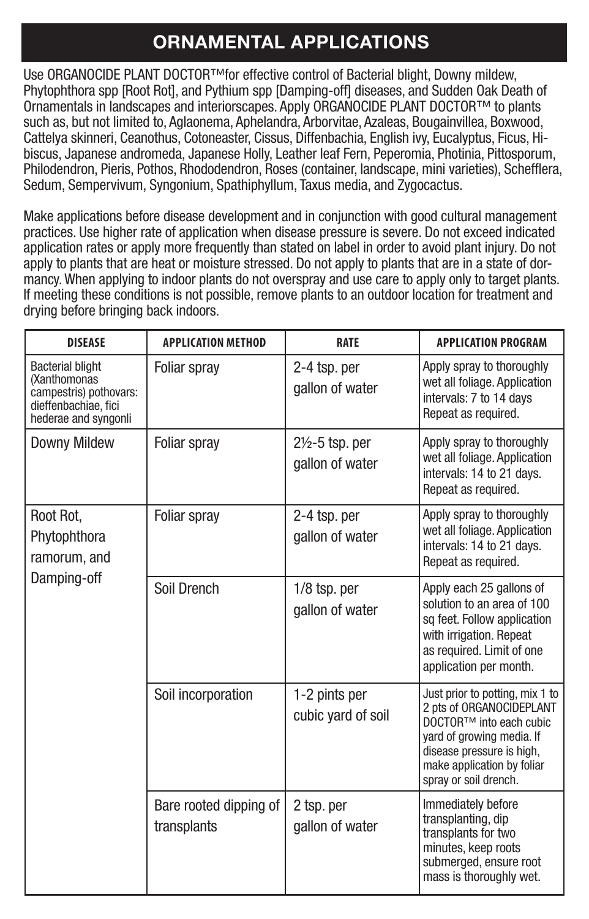### **ORNAMENTAL APPLICATIONS**

Use ORGANOCIDE PLANT DOCTOR™for effective control of Bacterial blight, Downy mildew, Phytophthora spp [Root Rot], and Pythium spp [Damping-off] diseases, and Sudden Oak Death of Ornamentals in landscapes and interiorscapes. Apply ORGANOCIDE PLANT DOCTOR™ to plants such as, but not limited to, Aglaonema, Aphelandra, Arborvitae, Azaleas, Bougainvillea, Boxwood, Cattelya skinneri, Ceanothus, Cotoneaster, Cissus, Diffenbachia, English ivy, Eucalyptus, Ficus, Hibiscus, Japanese andromeda, Japanese Holly, Leather leaf Fern, Peperomia, Photinia, Pittosporum, Philodendron, Pieris, Pothos, Rhododendron, Roses (container, landscape, mini varieties), Schefflera, Sedum, Sempervivum, Syngonium, Spathiphyllum, Taxus media, and Zygocactus.

Make applications before disease development and in conjunction with good cultural management practices. Use higher rate of application when disease pressure is severe. Do not exceed indicated application rates or apply more frequently than stated on label in order to avoid plant injury. Do not apply to plants that are heat or moisture stressed. Do not apply to plants that are in a state of dormancy. When applying to indoor plants do not overspray and use care to apply only to target plants. If meeting these conditions is not possible, remove plants to an outdoor location for treatment and drying before bringing back indoors.

| <b>DISEASE</b>                                                                                                    | <b>APPLICATION METHOD</b>             | <b>RATE</b>                                   | <b>APPLICATION PROGRAM</b>                                                                                                                                                                              |
|-------------------------------------------------------------------------------------------------------------------|---------------------------------------|-----------------------------------------------|---------------------------------------------------------------------------------------------------------------------------------------------------------------------------------------------------------|
| <b>Bacterial blight</b><br>(Xanthomonas<br>campestris) pothovars:<br>dieffenbachiae, fici<br>hederae and syngonli | Foliar spray                          | 2-4 tsp. per<br>gallon of water               | Apply spray to thoroughly<br>wet all foliage. Application<br>intervals: 7 to 14 days<br>Repeat as required.                                                                                             |
| Downy Mildew                                                                                                      | Foliar spray                          | $2\frac{1}{2}$ -5 tsp. per<br>gallon of water | Apply spray to thoroughly<br>wet all foliage. Application<br>intervals: 14 to 21 days.<br>Repeat as required.                                                                                           |
| Root Rot.<br>Phytophthora<br>ramorum, and<br>Damping-off                                                          | Foliar spray                          | 2-4 tsp. per<br>gallon of water               | Apply spray to thoroughly<br>wet all foliage. Application<br>intervals: 14 to 21 days.<br>Repeat as required.                                                                                           |
|                                                                                                                   | Soil Drench                           | $1/8$ tsp. per<br>gallon of water             | Apply each 25 gallons of<br>solution to an area of 100<br>sg feet. Follow application<br>with irrigation. Repeat<br>as required. Limit of one<br>application per month.                                 |
|                                                                                                                   | Soil incorporation                    | 1-2 pints per<br>cubic yard of soil           | Just prior to potting, mix 1 to<br>2 pts of ORGANOCIDEPLANT<br>DOCTOR™ into each cubic<br>yard of growing media. If<br>disease pressure is high.<br>make application by foliar<br>sprav or soil drench. |
|                                                                                                                   | Bare rooted dipping of<br>transplants | 2 tsp. per<br>gallon of water                 | Immediately before<br>transplanting, dip<br>transplants for two<br>minutes, keep roots<br>submerged, ensure root<br>mass is thoroughly wet.                                                             |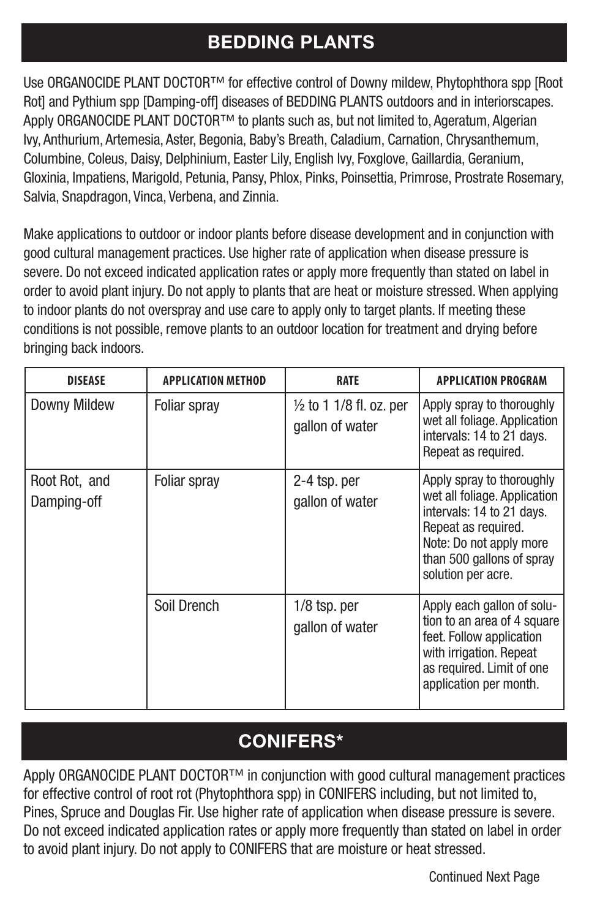### **BEDDING PLANTS**

Use ORGANOCIDE PLANT DOCTOR™ for effective control of Downy mildew, Phytophthora spp [Root Rot] and Pythium spp [Damping-off] diseases of BEDDING PLANTS outdoors and in interiorscapes. Apply ORGANOCIDE PLANT DOCTOR™ to plants such as, but not limited to, Ageratum, Algerian Ivy, Anthurium, Artemesia, Aster, Begonia, Baby's Breath, Caladium, Carnation, Chrysanthemum, Columbine, Coleus, Daisy, Delphinium, Easter Lily, English Ivy, Foxglove, Gaillardia, Geranium, Gloxinia, Impatiens, Marigold, Petunia, Pansy, Phlox, Pinks, Poinsettia, Primrose, Prostrate Rosemary, Salvia, Snapdragon, Vinca, Verbena, and Zinnia.

Make applications to outdoor or indoor plants before disease development and in conjunction with good cultural management practices. Use higher rate of application when disease pressure is severe. Do not exceed indicated application rates or apply more frequently than stated on label in order to avoid plant injury. Do not apply to plants that are heat or moisture stressed. When applying to indoor plants do not overspray and use care to apply only to target plants. If meeting these conditions is not possible, remove plants to an outdoor location for treatment and drying before bringing back indoors.

| <b>DISEASE</b>               | <b>APPLICATION METHOD</b> | <b>RATE</b>                                 | <b>APPLICATION PROGRAM</b>                                                                                                                                                                  |
|------------------------------|---------------------------|---------------------------------------------|---------------------------------------------------------------------------------------------------------------------------------------------------------------------------------------------|
| Downy Mildew                 | Foliar spray              | 1/2 to 1 1/8 fl. oz. per<br>gallon of water | Apply spray to thoroughly<br>wet all foliage. Application<br>intervals: 14 to 21 days.<br>Repeat as required.                                                                               |
| Root Rot, and<br>Damping-off | Foliar spray              | 2-4 tsp. per<br>gallon of water             | Apply spray to thoroughly<br>wet all foliage. Application<br>intervals: 14 to 21 days.<br>Repeat as required.<br>Note: Do not apply more<br>than 500 gallons of spray<br>solution per acre. |
|                              | Soil Drench               | $1/8$ tsp. per<br>gallon of water           | Apply each gallon of solu-<br>tion to an area of 4 square<br>feet. Follow application<br>with irrigation. Repeat<br>as required. Limit of one<br>application per month.                     |

### **CONIFERS\***

Apply ORGANOCIDE PLANT DOCTOR™ in conjunction with good cultural management practices for effective control of root rot (Phytophthora spp) in CONIFERS including, but not limited to, Pines, Spruce and Douglas Fir. Use higher rate of application when disease pressure is severe. Do not exceed indicated application rates or apply more frequently than stated on label in order to avoid plant injury. Do not apply to CONIFERS that are moisture or heat stressed.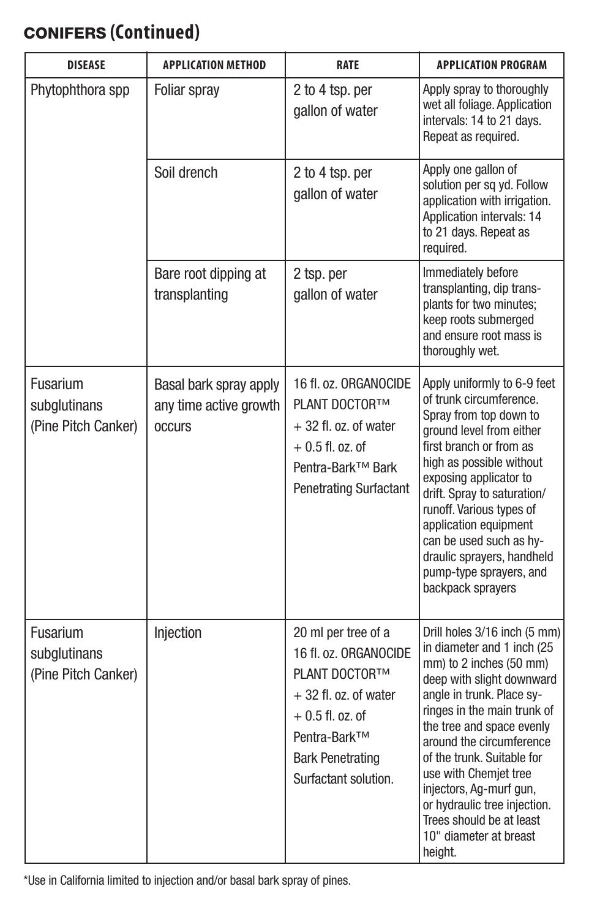## CONIFERS **(Continued)**

| <b>DISEASE</b>                                  | <b>APPLICATION METHOD</b>                                          | RATE                                                                                                                                                                            | <b>APPLICATION PROGRAM</b>                                                                                                                                                                                                                                                                                                                                                                                                 |
|-------------------------------------------------|--------------------------------------------------------------------|---------------------------------------------------------------------------------------------------------------------------------------------------------------------------------|----------------------------------------------------------------------------------------------------------------------------------------------------------------------------------------------------------------------------------------------------------------------------------------------------------------------------------------------------------------------------------------------------------------------------|
| Phytophthora spp                                | Foliar sprav                                                       | 2 to 4 tsp. per<br>gallon of water                                                                                                                                              | Apply spray to thoroughly<br>wet all foliage. Application<br>intervals: 14 to 21 days.<br>Repeat as required.                                                                                                                                                                                                                                                                                                              |
|                                                 | Soil drench                                                        | 2 to 4 tsp. per<br>gallon of water                                                                                                                                              | Apply one gallon of<br>solution per sq yd. Follow<br>application with irrigation.<br>Application intervals: 14<br>to 21 days. Repeat as<br>required.                                                                                                                                                                                                                                                                       |
|                                                 | Bare root dipping at<br>transplanting                              | 2 tsp. per<br>gallon of water                                                                                                                                                   | Immediately before<br>transplanting, dip trans-<br>plants for two minutes:<br>keep roots submerged<br>and ensure root mass is<br>thoroughly wet.                                                                                                                                                                                                                                                                           |
| Fusarium<br>subglutinans<br>(Pine Pitch Canker) | Basal bark spray apply<br>any time active growth<br><b>OCCUITS</b> | 16 fl. oz. ORGANOCIDE<br>PLANT DOCTOR™<br>$+32$ fl. oz. of water<br>$+0.5$ fl. oz. of<br>Pentra-Bark™ Bark<br>Penetrating Surfactant                                            | Apply uniformly to 6-9 feet<br>of trunk circumference.<br>Spray from top down to<br>ground level from either<br>first branch or from as<br>high as possible without<br>exposing applicator to<br>drift. Spray to saturation/<br>runoff. Various types of<br>application equipment<br>can be used such as hv-<br>draulic sprayers, handheld<br>pump-type sprayers, and<br>backpack sprayers                                 |
| Fusarium<br>subglutinans<br>(Pine Pitch Canker) | Injection                                                          | 20 ml per tree of a<br>16 fl. oz. ORGANOCIDE<br>PLANT DOCTOR™<br>$+32$ fl. oz. of water<br>$+0.5$ fl. oz. of<br>Pentra-Bark™<br><b>Bark Penetrating</b><br>Surfactant solution. | Drill holes 3/16 inch (5 mm)<br>in diameter and 1 inch (25<br>mm) to 2 inches (50 mm)<br>deep with slight downward<br>angle in trunk. Place sy-<br>ringes in the main trunk of<br>the tree and space evenly<br>around the circumference<br>of the trunk. Suitable for<br>use with Chemjet tree<br>injectors, Ag-murf gun,<br>or hydraulic tree injection.<br>Trees should be at least<br>10" diameter at breast<br>height. |

\*Use in California limited to injection and/or basal bark spray of pines.